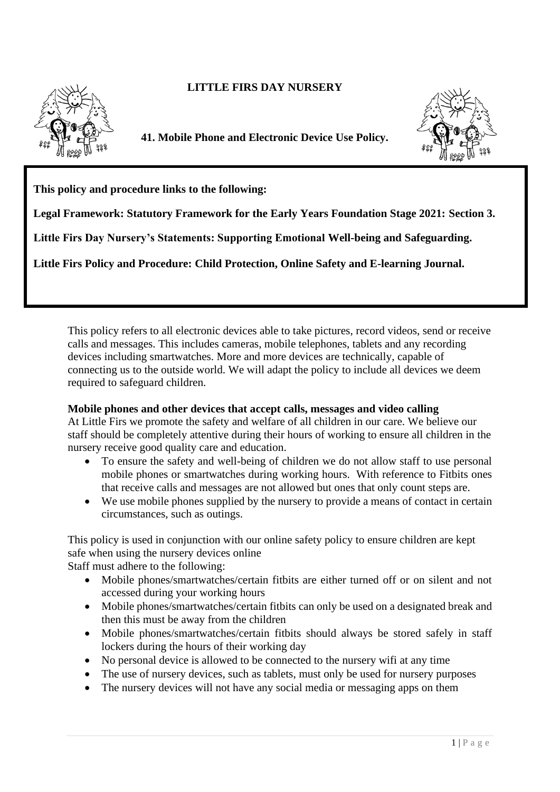# **LITTLE FIRS DAY NURSERY**



**41. Mobile Phone and Electronic Device Use Policy.**



**This policy and procedure links to the following:** 

**Legal Framework: Statutory Framework for the Early Years Foundation Stage 2021: Section 3.**

**Little Firs Day Nursery's Statements: Supporting Emotional Well-being and Safeguarding.**

**Little Firs Policy and Procedure: Child Protection, Online Safety and E-learning Journal.**

This policy refers to all electronic devices able to take pictures, record videos, send or receive calls and messages. This includes cameras, mobile telephones, tablets and any recording devices including smartwatches. More and more devices are technically, capable of connecting us to the outside world. We will adapt the policy to include all devices we deem required to safeguard children.

## **Mobile phones and other devices that accept calls, messages and video calling**

At Little Firs we promote the safety and welfare of all children in our care. We believe our staff should be completely attentive during their hours of working to ensure all children in the nursery receive good quality care and education.

- To ensure the safety and well-being of children we do not allow staff to use personal mobile phones or smartwatches during working hours. With reference to Fitbits ones that receive calls and messages are not allowed but ones that only count steps are.
- We use mobile phones supplied by the nursery to provide a means of contact in certain circumstances, such as outings.

This policy is used in conjunction with our online safety policy to ensure children are kept safe when using the nursery devices online

Staff must adhere to the following:

- Mobile phones/smartwatches/certain fitbits are either turned off or on silent and not accessed during your working hours
- Mobile phones/smartwatches/certain fitbits can only be used on a designated break and then this must be away from the children
- Mobile phones/smartwatches/certain fitbits should always be stored safely in staff lockers during the hours of their working day
- No personal device is allowed to be connected to the nursery wifi at any time
- The use of nursery devices, such as tablets, must only be used for nursery purposes
- The nursery devices will not have any social media or messaging apps on them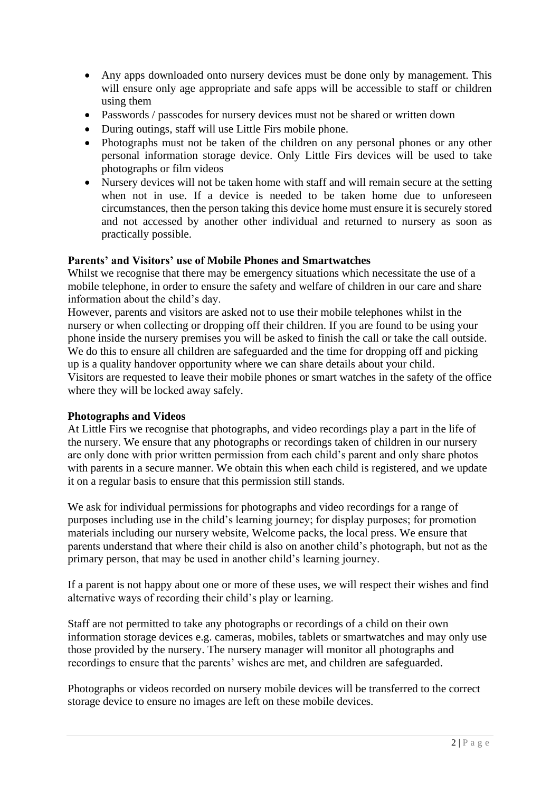- Any apps downloaded onto nursery devices must be done only by management. This will ensure only age appropriate and safe apps will be accessible to staff or children using them
- Passwords / passcodes for nursery devices must not be shared or written down
- During outings, staff will use Little Firs mobile phone.
- Photographs must not be taken of the children on any personal phones or any other personal information storage device. Only Little Firs devices will be used to take photographs or film videos
- Nursery devices will not be taken home with staff and will remain secure at the setting when not in use. If a device is needed to be taken home due to unforeseen circumstances, then the person taking this device home must ensure it is securely stored and not accessed by another other individual and returned to nursery as soon as practically possible.

## **Parents' and Visitors' use of Mobile Phones and Smartwatches**

Whilst we recognise that there may be emergency situations which necessitate the use of a mobile telephone, in order to ensure the safety and welfare of children in our care and share information about the child's day.

However, parents and visitors are asked not to use their mobile telephones whilst in the nursery or when collecting or dropping off their children. If you are found to be using your phone inside the nursery premises you will be asked to finish the call or take the call outside. We do this to ensure all children are safeguarded and the time for dropping off and picking up is a quality handover opportunity where we can share details about your child. Visitors are requested to leave their mobile phones or smart watches in the safety of the office where they will be locked away safely.

### **Photographs and Videos**

At Little Firs we recognise that photographs, and video recordings play a part in the life of the nursery. We ensure that any photographs or recordings taken of children in our nursery are only done with prior written permission from each child's parent and only share photos with parents in a secure manner. We obtain this when each child is registered, and we update it on a regular basis to ensure that this permission still stands.

We ask for individual permissions for photographs and video recordings for a range of purposes including use in the child's learning journey; for display purposes; for promotion materials including our nursery website, Welcome packs, the local press. We ensure that parents understand that where their child is also on another child's photograph, but not as the primary person, that may be used in another child's learning journey.

If a parent is not happy about one or more of these uses, we will respect their wishes and find alternative ways of recording their child's play or learning.

Staff are not permitted to take any photographs or recordings of a child on their own information storage devices e.g. cameras, mobiles, tablets or smartwatches and may only use those provided by the nursery. The nursery manager will monitor all photographs and recordings to ensure that the parents' wishes are met, and children are safeguarded.

Photographs or videos recorded on nursery mobile devices will be transferred to the correct storage device to ensure no images are left on these mobile devices.